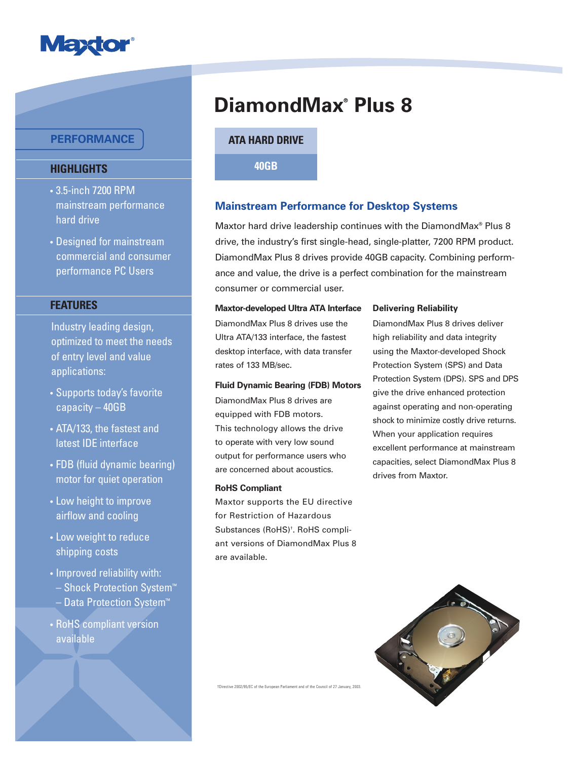

## **PERFORMANCE**

## **HIGHLIGHTS**

- 3.5-inch 7200 RPM mainstream performance hard drive
- Designed for mainstream commercial and consumer performance PC Users

### **FEATURES**

Industry leading design, optimized to meet the needs of entry level and value applications:

- Supports today's favorite capacity – 40GB
- ATA/133, the fastest and latest IDE interface
- FDB (fluid dynamic bearing) motor for quiet operation
- Low height to improve airflow and cooling
- Low weight to reduce shipping costs
- Improved reliability with:
	- Shock Protection System™ Data Protection System<sup>™</sup>
- RoHS compliant version available

# **DiamondMax® Plus 8**

**ATA HARD DRIVE**

**40GB**

## **Mainstream Performance for Desktop Systems**

Maxtor hard drive leadership continues with the DiamondMax® Plus 8 drive, the industry's first single-head, single-platter, 7200 RPM product. DiamondMax Plus 8 drives provide 40GB capacity. Combining performance and value, the drive is a perfect combination for the mainstream consumer or commercial user.

#### **Maxtor-developed Ultra ATA Interface**

DiamondMax Plus 8 drives use the Ultra ATA/133 interface, the fastest desktop interface, with data transfer rates of 133 MB/sec.

#### **Fluid Dynamic Bearing (FDB) Motors**

DiamondMax Plus 8 drives are equipped with FDB motors. This technology allows the drive to operate with very low sound output for performance users who are concerned about acoustics.

#### **RoHS Compliant**

Maxtor supports the EU directive for Restriction of Hazardous Substances (RoHS)† . RoHS compliant versions of DiamondMax Plus 8 are available.

#### **Delivering Reliability**

DiamondMax Plus 8 drives deliver high reliability and data integrity using the Maxtor-developed Shock Protection System (SPS) and Data Protection System (DPS). SPS and DPS give the drive enhanced protection against operating and non-operating shock to minimize costly drive returns. When your application requires excellent performance at mainstream capacities, select DiamondMax Plus 8 drives from Maxtor.



tirective 2002/95/EC of the European Parliament and of the Council of 27 January, 2003.